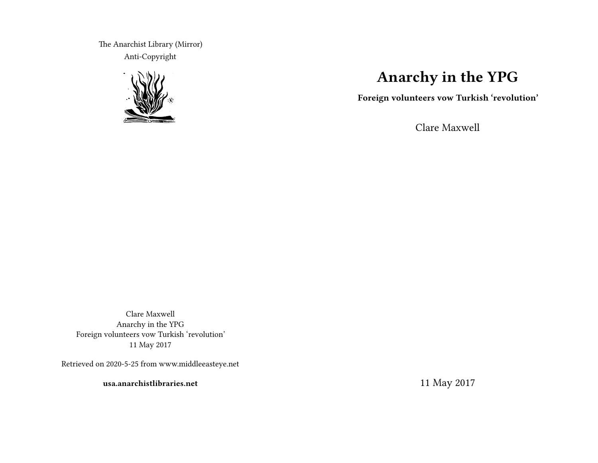The Anarchist Library (Mirror) Anti-Copyright



# **Anarchy in the YPG**

**Foreign volunteers vow Turkish 'revolution'**

Clare Maxwell

Clare Maxwell Anarchy in the YPG Foreign volunteers vow Turkish 'revolution' 11 May 2017

Retrieved on 2020-5-25 from www.middleeasteye.net

**usa.anarchistlibraries.net**

11 May 2017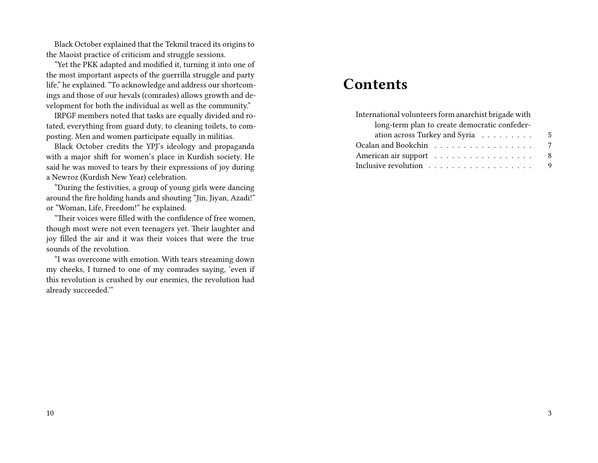Black October explained that the Tekmil traced its origins to the Maoist practice of criticism and struggle sessions.

"Yet the PKK adapted and modified it, turning it into one of the most important aspects of the guerrilla struggle and party life," he explained. "To acknowledge and address our shortcomings and those of our hevals (comrades) allows growth and development for both the individual as well as the community."

IRPGF members noted that tasks are equally divided and rotated, everything from guard duty, to cleaning toilets, to composting. Men and women participate equally in militias.

Black October credits the YPJ's ideology and propaganda with a major shift for women's place in Kurdish society. He said he was moved to tears by their expressions of joy during a Newroz (Kurdish New Year) celebration.

"During the festivities, a group of young girls were dancing around the fire holding hands and shouting "Jin, Jiyan, Azadi!" or "Woman, Life, Freedom!" he explained.

"Their voices were filled with the confidence of free women, though most were not even teenagers yet. Their laughter and joy filled the air and it was their voices that were the true sounds of the revolution.

"I was overcome with emotion. With tears streaming down my cheeks, I turned to one of my comrades saying, 'even if this revolution is crushed by our enemies, the revolution had already succeeded.'"

## **Contents**

| International volunteers form anarchist brigade with |   |
|------------------------------------------------------|---|
| long-term plan to create democratic confeder-        |   |
| ation across Turkey and Syria $\ldots \ldots \ldots$ | 5 |
|                                                      | 7 |
| American air support                                 | 8 |
|                                                      | 9 |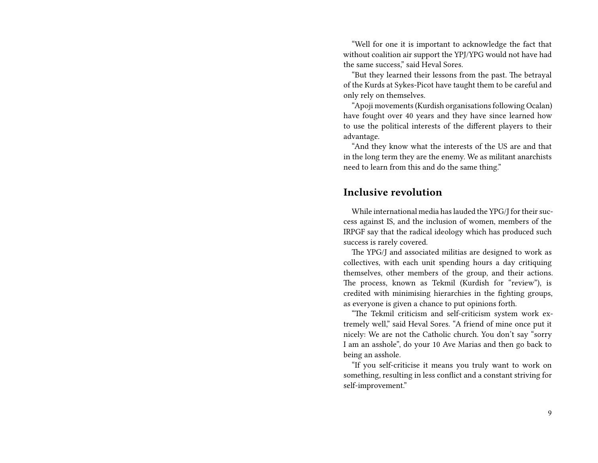"Well for one it is important to acknowledge the fact that without coalition air support the YPJ/YPG would not have had the same success," said Heval Sores.

"But they learned their lessons from the past. The betrayal of the Kurds at Sykes-Picot have taught them to be careful and only rely on themselves.

"Apoji movements (Kurdish organisations following Ocalan) have fought over 40 years and they have since learned how to use the political interests of the different players to their advantage.

"And they know what the interests of the US are and that in the long term they are the enemy. We as militant anarchists need to learn from this and do the same thing."

### **Inclusive revolution**

While international media has lauded the YPG/J for their success against IS, and the inclusion of women, members of the IRPGF say that the radical ideology which has produced such success is rarely covered.

The YPG/J and associated militias are designed to work as collectives, with each unit spending hours a day critiquing themselves, other members of the group, and their actions. The process, known as Tekmil (Kurdish for "review"), is credited with minimising hierarchies in the fighting groups, as everyone is given a chance to put opinions forth.

"The Tekmil criticism and self-criticism system work extremely well," said Heval Sores. "A friend of mine once put it nicely: We are not the Catholic church. You don't say "sorry I am an asshole", do your 10 Ave Marias and then go back to being an asshole.

"If you self-criticise it means you truly want to work on something, resulting in less conflict and a constant striving for self-improvement."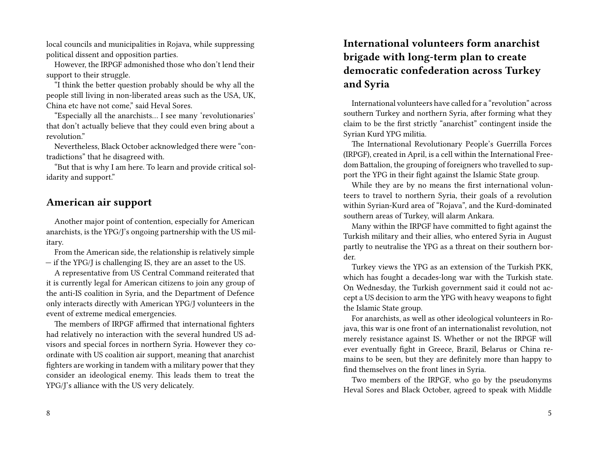local councils and municipalities in Rojava, while suppressing political dissent and opposition parties.

However, the IRPGF admonished those who don't lend their support to their struggle.

"I think the better question probably should be why all the people still living in non-liberated areas such as the USA, UK, China etc have not come," said Heval Sores.

"Especially all the anarchists… I see many 'revolutionaries' that don't actually believe that they could even bring about a revolution."

Nevertheless, Black October acknowledged there were "contradictions" that he disagreed with.

"But that is why I am here. To learn and provide critical solidarity and support."

#### **American air support**

Another major point of contention, especially for American anarchists, is the YPG/J's ongoing partnership with the US military.

From the American side, the relationship is relatively simple — if the YPG/J is challenging IS, they are an asset to the US.

A representative from US Central Command reiterated that it is currently legal for American citizens to join any group of the anti-IS coalition in Syria, and the Department of Defence only interacts directly with American YPG/J volunteers in the event of extreme medical emergencies.

The members of IRPGF affirmed that international fighters had relatively no interaction with the several hundred US advisors and special forces in northern Syria. However they coordinate with US coalition air support, meaning that anarchist fighters are working in tandem with a military power that they consider an ideological enemy. This leads them to treat the YPG/J's alliance with the US very delicately.

#### 8

### **International volunteers form anarchist brigade with long-term plan to create democratic confederation across Turkey and Syria**

International volunteers have called for a "revolution" across southern Turkey and northern Syria, after forming what they claim to be the first strictly "anarchist" contingent inside the Syrian Kurd YPG militia.

The International Revolutionary People's Guerrilla Forces (IRPGF), created in April, is a cell within the International Freedom Battalion, the grouping of foreigners who travelled to support the YPG in their fight against the Islamic State group.

While they are by no means the first international volunteers to travel to northern Syria, their goals of a revolution within Syrian-Kurd area of "Rojava", and the Kurd-dominated southern areas of Turkey, will alarm Ankara.

Many within the IRPGF have committed to fight against the Turkish military and their allies, who entered Syria in August partly to neutralise the YPG as a threat on their southern border.

Turkey views the YPG as an extension of the Turkish PKK, which has fought a decades-long war with the Turkish state. On Wednesday, the Turkish government said it could not accept a US decision to arm the YPG with heavy weapons to fight the Islamic State group.

For anarchists, as well as other ideological volunteers in Rojava, this war is one front of an internationalist revolution, not merely resistance against IS. Whether or not the IRPGF will ever eventually fight in Greece, Brazil, Belarus or China remains to be seen, but they are definitely more than happy to find themselves on the front lines in Syria.

Two members of the IRPGF, who go by the pseudonyms Heval Sores and Black October, agreed to speak with Middle